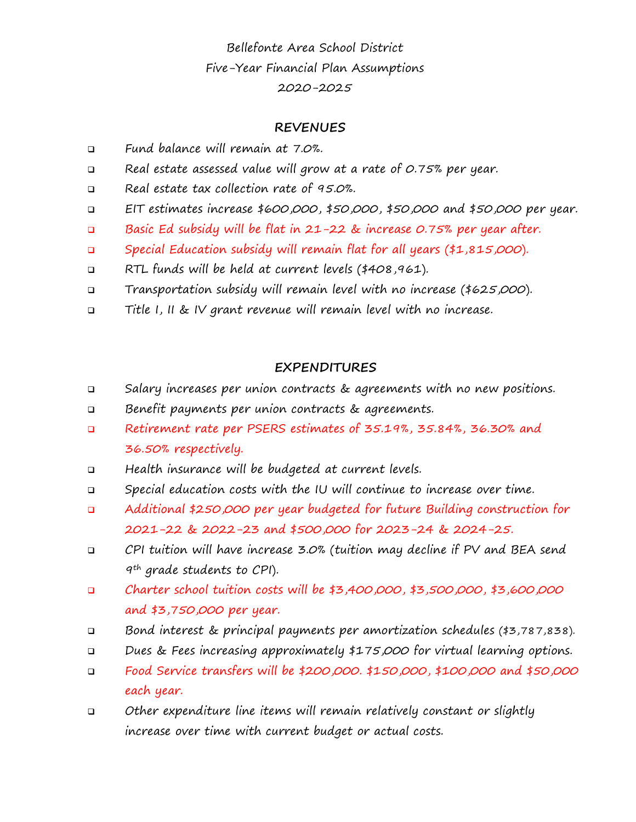Bellefonte Area School District Five-Year Financial Plan Assumptions 2020-2025

## **REVENUES**

- Fund balance will remain at 7.0%.
- □ Real estate assessed value will grow at a rate of 0.75% per year.
- Real estate tax collection rate of 95.0%.
- **EIT estimates increase \$600,000, \$50,000, \$50,000 and \$50,000 per year.**
- Basic Ed subsidy will be flat in 21-22 & increase 0.75% per year after.
- Special Education subsidy will remain flat for all years (\$1,815,000).
- RTL funds will be held at current levels (\$408,961).
- Transportation subsidy will remain level with no increase (\$625,000).
- Title I, II & IV grant revenue will remain level with no increase.

### **EXPENDITURES**

- Salary increases per union contracts & agreements with no new positions.
- Benefit payments per union contracts & agreements.
- Retirement rate per PSERS estimates of 35.19%, 35.84%, 36.30% and 36.50% respectively.
- Health insurance will be budgeted at current levels.
- Special education costs with the IU will continue to increase over time.
- Additional \$250,000 per year budgeted for future Building construction for 2021-22 & 2022-23 and \$500,000 for 2023-24 & 2024-25.
- CPI tuition will have increase 3.0% (tuition may decline if PV and BEA send 9th grade students to CPI).
- Charter school tuition costs will be \$3,400,000, \$3,500,000, \$3,600,000 and \$3,750,000 per year.
- Bond interest & principal payments per amortization schedules (\$3,787,838).
- Dues & Fees increasing approximately \$175,000 for virtual learning options.
- **D** Food Service transfers will be \$200,000. \$150,000, \$100,000 and \$50,000 each year.
- Other expenditure line items will remain relatively constant or slightly increase over time with current budget or actual costs.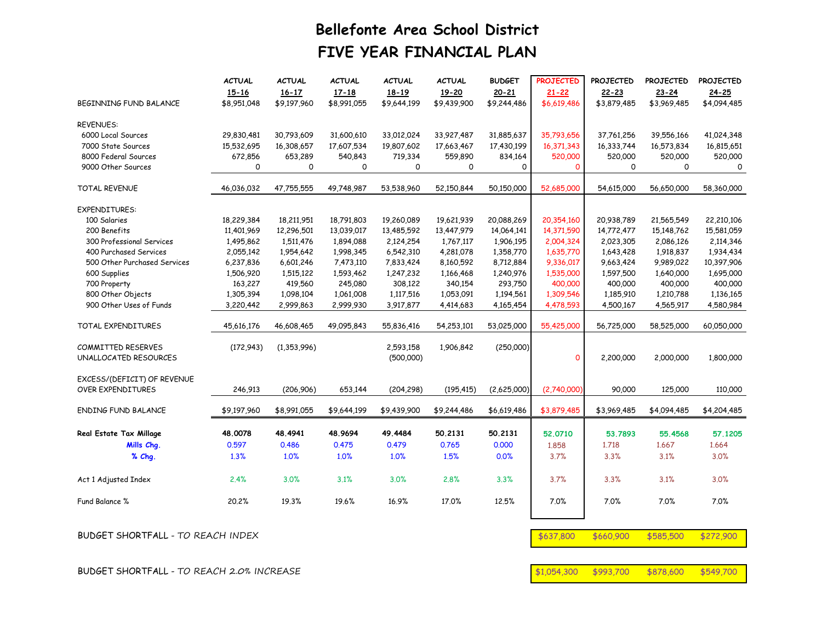# **Bellefonte Area School District FIVE YEAR FINANCIAL PLAN**

|                              | <b>ACTUAL</b><br>$15 - 16$ | <b>ACTUAL</b><br>$16 - 17$ | <b>ACTUAL</b><br>$17 - 18$ | <b>ACTUAL</b><br>$18 - 19$ | <b>ACTUAL</b><br>19-20 | <b>BUDGET</b><br>$20 - 21$ | <b>PROJECTED</b><br>$21 - 22$ | <b>PROJECTED</b><br>$22 - 23$ | <b>PROJECTED</b><br>$23 - 24$ | <b>PROJECTED</b><br>$24 - 25$ |
|------------------------------|----------------------------|----------------------------|----------------------------|----------------------------|------------------------|----------------------------|-------------------------------|-------------------------------|-------------------------------|-------------------------------|
| BEGINNING FUND BALANCE       | \$8,951,048                | \$9,197,960                | \$8,991,055                | \$9,644,199                | \$9,439,900            | \$9,244,486                | \$6,619,486                   | \$3,879,485                   | \$3,969,485                   | \$4,094,485                   |
| <b>REVENUES:</b>             |                            |                            |                            |                            |                        |                            |                               |                               |                               |                               |
| 6000 Local Sources           | 29,830,481                 | 30,793,609                 | 31,600,610                 | 33,012,024                 | 33,927,487             | 31,885,637                 | 35,793,656                    | 37,761,256                    | 39,556,166                    | 41,024,348                    |
| 7000 State Sources           | 15,532,695                 | 16,308,657                 | 17,607,534                 | 19,807,602                 | 17,663,467             | 17,430,199                 | 16,371,343                    | 16,333,744                    | 16,573,834                    | 16,815,651                    |
| 8000 Federal Sources         | 672,856                    | 653,289                    | 540,843                    | 719,334                    | 559,890                | 834,164                    | 520,000                       | 520,000                       | 520,000                       | 520,000                       |
| 9000 Other Sources           | $\Omega$                   | 0                          | $\Omega$                   | $\Omega$                   | 0                      | 0                          | $\Omega$                      | $\Omega$                      | 0                             | 0                             |
| TOTAL REVENUE                | 46,036,032                 | 47,755,555                 | 49,748,987                 | 53,538,960                 | 52,150,844             | 50,150,000                 | 52,685,000                    | 54,615,000                    | 56,650,000                    | 58,360,000                    |
| <b>EXPENDITURES:</b>         |                            |                            |                            |                            |                        |                            |                               |                               |                               |                               |
| 100 Salaries                 | 18,229,384                 | 18,211,951                 | 18,791,803                 | 19,260,089                 | 19,621,939             | 20,088,269                 | 20,354,160                    | 20,938,789                    | 21,565,549                    | 22,210,106                    |
| 200 Benefits                 | 11,401,969                 | 12,296,501                 | 13,039,017                 | 13,485,592                 | 13,447,979             | 14,064,141                 | 14,371,590                    | 14,772,477                    | 15,148,762                    | 15,581,059                    |
| 300 Professional Services    | 1,495,862                  | 1,511,476                  | 1,894,088                  | 2,124,254                  | 1,767,117              | 1,906,195                  | 2,004,324                     | 2,023,305                     | 2,086,126                     | 2,114,346                     |
| 400 Purchased Services       | 2,055,142                  | 1,954,642                  | 1,998,345                  | 6,542,310                  | 4,281,078              | 1,358,770                  | 1,635,770                     | 1,643,428                     | 1,918,837                     | 1,934,434                     |
| 500 Other Purchased Services | 6,237,836                  | 6,601,246                  | 7,473,110                  | 7,833,424                  | 8,160,592              | 8,712,884                  | 9,336,017                     | 9,663,424                     | 9.989.022                     | 10,397,906                    |
| 600 Supplies                 | 1,506,920                  | 1,515,122                  | 1,593,462                  | 1,247,232                  | 1,166,468              | 1,240,976                  | 1,535,000                     | 1,597,500                     | 1,640,000                     | 1,695,000                     |
| 700 Property                 | 163,227                    | 419,560                    | 245,080                    | 308,122                    | 340,154                | 293,750                    | 400,000                       | 400,000                       | 400,000                       | 400,000                       |
| 800 Other Objects            | 1,305,394                  | 1,098,104                  | 1,061,008                  | 1,117,516                  | 1,053,091              | 1,194,561                  | 1,309,546                     | 1,185,910                     | 1,210,788                     | 1,136,165                     |
| 900 Other Uses of Funds      | 3,220,442                  | 2,999,863                  | 2,999,930                  | 3,917,877                  | 4,414,683              | 4,165,454                  | 4,478,593                     | 4,500,167                     | 4,565,917                     | 4,580,984                     |
| TOTAL EXPENDITURES           | 45,616,176                 | 46,608,465                 | 49,095,843                 | 55,836,416                 | 54,253,101             | 53,025,000                 | 55.425.000                    | 56.725.000                    | 58,525,000                    | 60,050,000                    |
| <b>COMMITTED RESERVES</b>    | (172, 943)                 | (1,353,996)                |                            | 2,593,158                  | 1,906,842              | (250,000)                  |                               |                               |                               |                               |
| UNALLOCATED RESOURCES        |                            |                            |                            | (500,000)                  |                        |                            | $\Omega$                      | 2,200,000                     | 2,000,000                     | 1,800,000                     |
| EXCESS/(DEFICIT) OF REVENUE  |                            |                            |                            |                            |                        |                            |                               |                               |                               |                               |
| <b>OVER EXPENDITURES</b>     | 246,913                    | (206.906)                  | 653,144                    | (204, 298)                 | (195, 415)             | (2,625,000)                | (2,740,000)                   | 90,000                        | 125,000                       | 110,000                       |
| <b>ENDING FUND BALANCE</b>   | \$9,197,960                | \$8,991,055                | \$9,644,199                | \$9,439,900                | \$9,244,486            | \$6,619,486                | \$3,879,485                   | \$3,969,485                   | \$4,094,485                   | \$4,204,485                   |
| Real Estate Tax Millage      | 48.0078                    | 48.4941                    | 48.9694                    | 49.4484                    | 50.2131                | 50.2131                    | 52,0710                       | 53.7893                       | 55.4568                       | 57,1205                       |
| Mills Cha.                   | 0.597                      | 0.486                      | 0.475                      | 0.479                      | 0.765                  | 0.000                      | 1.858                         | 1.718                         | 1.667                         | 1.664                         |
|                              |                            |                            |                            |                            |                        |                            |                               |                               |                               |                               |
| % Chq.                       | 1.3%                       | 1.0%                       | 1.0%                       | 1.0%                       | 1.5%                   | 0.0%                       | 3.7%                          | 3.3%                          | 3.1%                          | 3.0%                          |
| Act 1 Adjusted Index         | 2.4%                       | 3.0%                       | 3.1%                       | 3.0%                       | 2.8%                   | 3.3%                       | 3.7%                          | 3.3%                          | 3.1%                          | 3.0%                          |
| Fund Balance %               | 20.2%                      | 19.3%                      | 19.6%                      | 16.9%                      | 17.0%                  | 12.5%                      | 7.0%                          | 7.0%                          | 7.0%                          | 7.0%                          |
|                              |                            |                            |                            |                            |                        |                            |                               |                               |                               |                               |

BUDGET SHORTFALL - TO REACH 2.0% INCREASE  $$1,054,300$  \$993,700 \$878,600 \$549,700